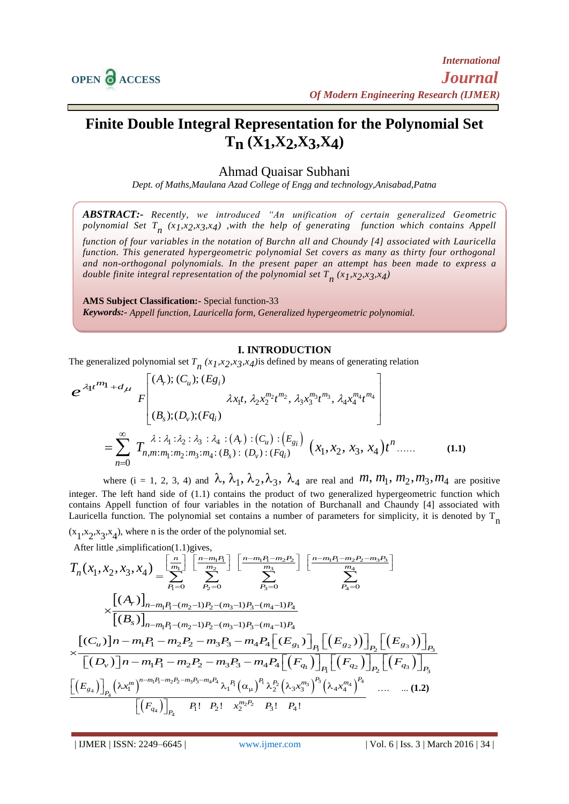

## **Finite Double Integral Representation for the Polynomial Set Tn (X1,X2,X3,X4)**

## Ahmad Quaisar Subhani

*Dept. of Maths,Maulana Azad College of Engg and technology,Anisabad,Patna*

*ABSTRACT:- Recently, we introduced "An unification of certain generalized Geometric polynomial Set T n (x1,x2,x3,x4) ,with the help of generating function which contains Appell function of four variables in the notation of Burchn all and Choundy [4] associated with Lauricella function. This generated hypergeometric polynomial Set covers as many as thirty four orthogonal and non-orthogonal polynomials. In the present paper an attempt has been made to express a* 

**AMS Subject Classification:-** Special function-33 *Keywords:- Appell function, Lauricella form, Generalized hypergeometric polynomial.*

double finite integral representation of the polynomial set  $T_{n}^{} \left( x_{1} x_{2} x_{3} x_{4} \right)$ 

## **I. INTRODUCTION**

The generalized polynomial set  $T_n(x_1, x_2, x_3, x_4)$  is defined by means of generating relation

**I. INTRODUCTION**  
\nThe generalized polynomial set 
$$
T_n
$$
  $(x_1, x_2, x_3, x_4)$  is defined by means of generating relation  
\n
$$
e^{\lambda_1 t^{m_1} + d_{\lambda t}} F\begin{bmatrix} (A_r); (C_u); (E_{g_i}) & \lambda x_1 t, \lambda_2 x_2^{m_2} t^{m_2}, \lambda_3 x_3^{m_3} t^{m_3}, \lambda_4 x_4^{m_4} t^{m_4} \\ (B_s); (D_v); (Fq_i) \end{bmatrix}
$$
\n
$$
= \sum_{n=0}^{\infty} T_{n,m:m_1:m_2:m_3:m_4} \cdot (B_s) \cdot (D_v) \cdot (F_{g_i}) (x_1, x_2, x_3, x_4) t^n \dots
$$
\n(1.1)

where  $(i = 1, 2, 3, 4)$  and  $\lambda$ ,  $\lambda_1$ ,  $\lambda_2$ ,  $\lambda_3$ ,  $\lambda_4$  are real and  $m$ ,  $m_1$ ,  $m_2$ ,  $m_3$ ,  $m_4$  are positive integer. The left hand side of (1.1) contains the product of two generalized hypergeometric function which contains Appell function of four variables in the notation of Burchanall and Chaundy [4] associated with Lauricella function. The polynomial set contains a number of parameters for simplicity, it is denoted by T<sub>n</sub>

 $(x_1, x_2, x_3, x_4)$ , where n is the order of the polynomial set.

After little ,simplification(1.1)gives,

$$
(x_1, x_2, x_3, x_4), \text{ where n is the order of the polynomial set.}
$$
  
\nAfter little, simplification (1.1) gives,  
\n
$$
T_n(x_1, x_2, x_3, x_4) = \sum_{P_1=0}^{\left[\frac{n}{m_1}\right]} \left[\frac{n-m_1P_1 - m_2P_2}{m_2}\right] \left[\frac{n-m_1P_1 - m_2P_2 - m_3P_3}{m_3}\right]
$$
\n
$$
\times \left[\frac{(A_r)_{n-m_1P_1 - (m_2-1)P_2 - (m_3-1)P_3 - (m_4-1)P_4}}{[B_s]\right]_{n-m_1P_1 - (m_2-1)P_2 - (m_3-1)P_3 - (m_4-1)P_4}
$$
\n
$$
\left[\frac{(C_u)_{n-m_1P_1 - m_2P_2 - m_3P_3 - m_4P_4}\left[\frac{(E_{g_1})_{n-m_1P_2}\left[\frac{(E_{g_2})_{n-m_1P_2}\left[\frac{(E_{g_3})_{n-m_1P_2}\left[\frac{(E_{g_3})_{n-m_1P_2}\left[\frac{(E_{g_3})_{n-m_1P_2}\left[\frac{(E_{g_3})_{n-m_1P_1}}{n-m_1P_1 - m_2P_2 - m_3P_3 - m_4P_4}\right[\frac{(E_{g_1})_{n-m_1P_1}}{n-m_1P_1 - m_2P_2 - m_3P_3 - m_4P_4}\left[\frac{(E_{g_1})_{n-m_1P_1}}{n-m_1P_1 - m_2P_2 - m_3P_3 - m_4P_4}\right]_{n-m_1P_1}^{n-m_1P_1 - m_2P_2 - m_3P_3 - m_4P_4} \lambda_1^{P_1}(\alpha_{\mu})^{P_1} \lambda_2^{P_2}(\lambda_3 x_3^{m_3})^{P_3}(\lambda_4 x_4^{m_4})^{P_4} \dots \dots (1.2)
$$
\n
$$
\left[\frac{(E_{g_4})_{n-m_4P_1}}{n-m_4P_4 - m_4P_4 - m_4P_4}\right]_{n-m_4P_4}^{n-m_4P_2 - n_4P_4} \dots (1.2)
$$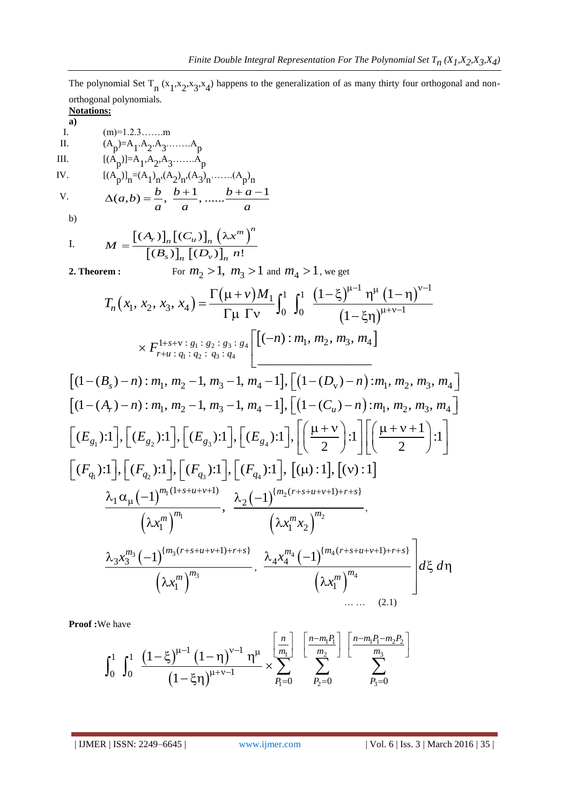The polynomial Set  $T_n(x_1,x_2,x_3,x_4)$  happens to the generalization of as many thirty four orthogonal and nonorthogonal polynomials.

**Notations: a)**  $(m)=1.2.3......$ m II.  $(A_p)=A_1 \cdot A_2 \cdot A_3 \cdot \dots \cdot A_p$ III.  $[(A_p)]=A_1, A_2, A_3, \ldots, A_p$ IV.  $[(A_p)]_n = (A_1)_n (A_2)_n (A_3)_n \dots (A_p)_n$ V.  $\begin{aligned} A_p^{[j]} \mathbf{1}_n &= (A_1)_{n'} (A_2)_{n'} (A_3)_{n'} \dots (A_p)_{n} \\ (a, b) &= \frac{b}{a}, \frac{b+1}{a}, \dots \frac{b+a-1}{a} \end{aligned}$  $\frac{b}{a}$ ,  $\frac{b+1}{a}$ , ......  $\frac{b+a}{a}$  $[(A_p)]_n = (A_1)_n (A_2)_n (A_3)_n \dots (A_p)_n$ <br>  $\Delta(a,b) = \frac{b}{a}, \frac{b+1}{a}, \dots, \frac{b+a-1}{a}$ b) I.  $[(A_r)]_n [(C_u)]_n (\lambda x^m)'$  $\overline{[(B_s)]_n [(D_v)]_n}$  $(A_r)$ <sub>n</sub> $(C_u)$  $\frac{1}{(n)}\left[\left(C_{u}\right)\right]_{n}\left(\lambda x^{m}\right)$ <br> $\left(B_{s}\right)\right]_{n}\left[\left(D_{v}\right)\right]_{n} n!$  $_{r}$ )]<sub>*n*</sub> $\left[$  (*C<sub>u</sub>*)]<sub>*n*</sub> $\left(\lambda x^{m}\right)^{n}$  $\left[\frac{n}{s}\right]_n \left[\left(D_\nu\right)\right]_n$  $M = \frac{[(A_r)]_n [(C_u)]_n (\lambda x^n)}{[(B_s)]_n [(D_v)]_n n}$  $=$ **2. Theorem**:

For 
$$
m_2 > 1
$$
,  $m_3 > 1$  and  $m_4 > 1$ , we get

$$
\begin{aligned}\n\text{e-m}: \qquad & \text{For } m_2 > 1, \ m_3 > 1 \text{ and } m_4 > 1, \text{ we get} \\
T_n(x_1, x_2, x_3, x_4) &= \frac{\Gamma(\mu + \nu)M_1}{\Gamma \mu} \int_0^1 \int_0^1 \frac{\left(1 - \xi\right)^{\mu - 1} \eta^{\mu} \left(1 - \eta\right)^{\nu - 1}}{\left(1 - \xi \eta\right)^{\mu + \nu - 1}} \\
& \times F_{r + \mu + g_1 + g_2 + g_3 + g_4}^{\frac{1 + s + \nu + g_1 + g_2 + g_3 + g_4}{\pi}} \n\end{aligned}
$$

$$
\times F_{r+u \,:\, q_1 \,:\, q_2 \,:\, q_3 \,:\, q_4} \left[ \left[ (-n) : m_1, m_2, m_3, m_4 \right] \right]
$$
\n
$$
\left[ (1 - (B_s) - n) : m_1, m_2 - 1, m_3 - 1, m_4 - 1 \right], \left[ (1 - (D_v) - n) : m_1, m_2, m_3, m_4 \right]
$$
\n
$$
\left[ (1 - (A_r) - n) : m_1, m_2 - 1, m_3 - 1, m_4 - 1 \right], \left[ (1 - (C_u) - n) : m_1, m_2, m_3, m_4 \right]
$$
\n
$$
\left[ (E_{g_1}) : 1 \right], \left[ (E_{g_2}) : 1 \right], \left[ (E_{g_3}) : 1 \right], \left[ (E_{g_4}) : 1 \right], \left[ \left( \frac{\mu + \nu}{2} \right) : 1 \right] \left[ \left( \frac{\mu + \nu + 1}{2} \right) : 1 \right]
$$
\n
$$
\left[ (F_{q_1}) : 1 \right], \left[ (F_{q_2}) : 1 \right], \left[ (F_{q_3}) : 1 \right], \left[ (F_{q_4}) : 1 \right], \left[ (\mu) : 1 \right], \left[ (\nu) : 1 \right]
$$
\n
$$
\frac{\lambda_1 \alpha_\mu (-1)^{m_1(1+s+\mu+\nu+1)}}{(\lambda x_1^m)^{m_1}}, \frac{\lambda_2 (-1)^{\{m_2(r+s+\mu+\nu+1\}+r+s\}}}{(\lambda x_1^m x_2)^{m_2}}, \frac{\lambda_3 x_3^m (-1)^{\{m_3(r+s+\mu+\nu+1\}+r+s\}}}{(\lambda x_1^m)^{m_3}}, \frac{\lambda_4 x_4^{m_4} (-1)^{\{m_4(r+s+\mu+\nu+1\}+r+s\}}}{(\lambda x_1^m)^{m_4}} \right] d\xi d\eta
$$
\n
$$
(2.1)
$$

**Proof :**We have

$$
\begin{array}{ll}\n\text{We have} & \dots & (2.1) \\
\text{We have} & \\
\int_0^1 \int_0^1 \frac{\left(1-\xi\right)^{\mu-1} \left(1-\eta\right)^{\nu-1} \eta^{\mu}}{\left(1-\xi\eta\right)^{\mu+\nu-1}} \times \sum_{P_1=0}^{\left[\frac{n}{m_1}\right]} \sum_{P_2=0}^{\left[\frac{n-m_1P_1}{m_2}\right]} \sum_{P_3=0}^{\left[\frac{n-m_1P_1-m_2P_2}{m_3}\right]} \\
\end{array}
$$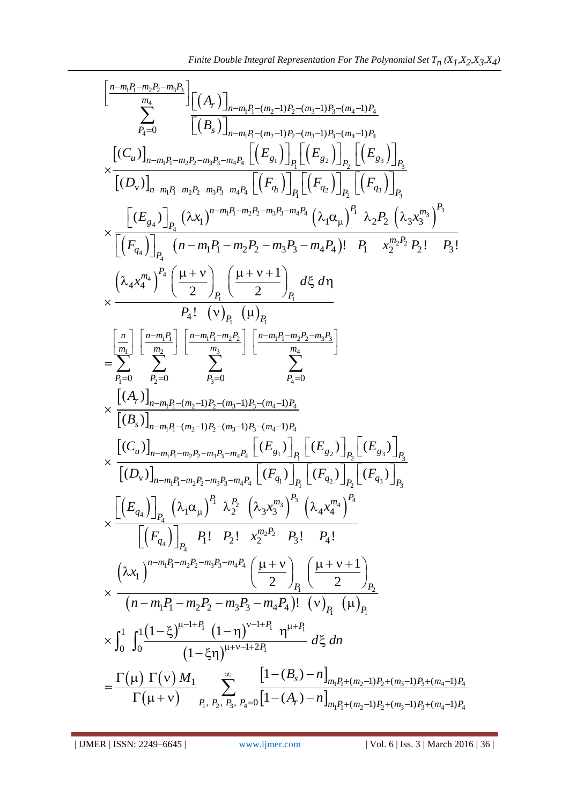$$
\frac{\text{Finite Double Integral Representation For The Polynomial Set } T_n(X_1, X_2, X_3, X_4)}{\displaystyle\sum_{P_4=0}^{n_4}\prod_{\substack{m_4\\P_4=0}}^{n_4}\left[\left(A_r\right)\right]_{n-m_1P_1-(m_2-1)P_2-(m_3-1)P_3-(m_4-1)P_4}}{\left[\left(B_s\right)\right]_{n-m_1P_1-(m_2-1)P_2-(m_3-1)P_3-(m_4-1)P_4}}\\ \times\frac{\left[\left(C_u\right)\right]_{n-m_1P_1-m_2P_2-m_3P_3-m_4P_4}\left[\left(E_s\right)\right]_{P_1}\left[\left(E_s\right)\right]_{P_2}\left[\left(E_s\right)\right]_{P_3}}{\left[\left(D_v\right)\right]_{n-m_1P_1-m_2P_2-m_3P_3-m_4P_4}\left[\left(P_q\right)\right]_{P_1}\left[\left(F_{q_2}\right)\right]_{P_2}\left[\left(F_{q_3}\right)\right]_{P_3}}\\ \times\frac{\left[\left(E_{g_4}\right)\right]_{P_1}\left(\lambda x_1\right)^{n-m_1P_1-m_2P_2-m_3P_3-m_4P_4}\left(\lambda_1\alpha_{\mu}\right)^{P_1}\lambda_2P_2\left(\lambda_3x_1^{m_3}\right)^{P_3}}{\left[\left(E_{q_4}\right)\right]_{P_1}\left(n-m_1P_1-m_2P_2-m_3P_3-m_4P_4}\left(\lambda_1\alpha_{\mu}\right)^{P_1}\lambda_2P_2\left(\lambda_3x_1^{m_3}\right)^{P_3}}\\ \times\frac{\left[\left(E_s\right)\right]_{P_1}\left(n-m_1P_1-m_2P_2-m_3P_3-m_4P_4}\left(\lambda_1\alpha_{\mu}\right)^{P_1}\lambda_2P_2\left(\lambda_3x_1^{m_3}\right)^{P_3}}{\left[\left(E_s\right)\right]_{P_1}\left[\left(\mu\right)\right]_{P_1}\left[\left(\mu\right)\right]}\\ \times\frac{\left[\left(A_r\right)\right]_{n-m_1P_1-(m_2-1)P_2-(m_3-1)P_4}}{\left[\left(B_s\right)\right]_{n-m_1P_1-(m_2-1)P_2-(m_3-1)P_4
$$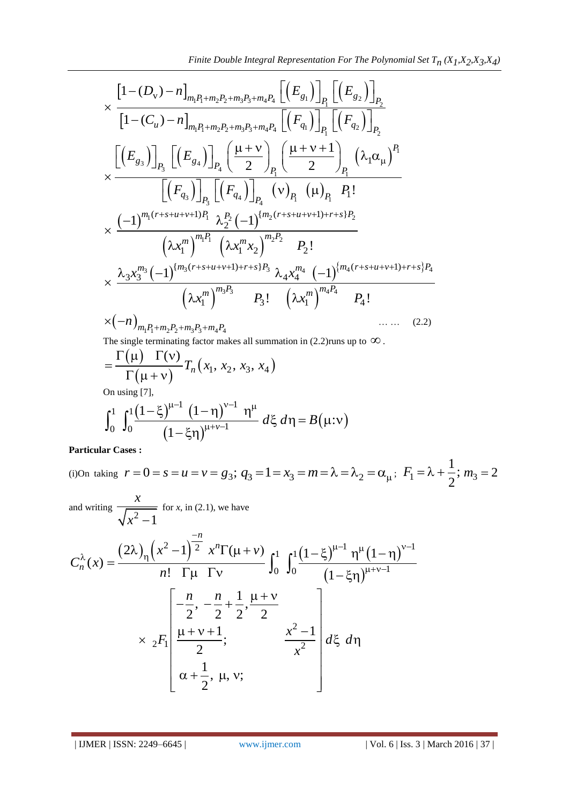1 2 1 1 2 2 3 3 4 4 1 2 1 2 1 1 2 2 3 3 4 4 1 2 v 1 ( ) 1 ( ) *m P m P m P m P g g P P D n E E u q q m P m P m P m P P P C n F F* 1 3 4 3 4 1 1 3 4 1 1 <sup>3</sup> <sup>4</sup> 1 1 1 2 2 ! *P g g <sup>P</sup> <sup>P</sup> P P q q P P <sup>P</sup> <sup>P</sup> E E F F P* 1 1 2 2 <sup>2</sup> 1 1 2 2 ( 1) { ( 1) } 2 1 1 2 2 1 1 ! *m r s u v P m r s u v r s P <sup>P</sup> m P m P m m x x x P* <sup>3</sup> 3 3 4 4 <sup>4</sup> 3 3 4 4 { ( 1) } ( 1) 3 4 1 3 1 4 1 1 ! ! *<sup>m</sup> m r s u v r s P m r s u v r s P <sup>m</sup> m P m P m m x x x P x P m P m P m P m P* 1 1 2 2 3 3 4 4 *n* … … (2.2)

The single terminating factor makes all summation in (2.2) runs up to 
$$
\infty
$$
.

The single terminating factor makes all summation in (2.2) runs up to 
$$
\infty
$$
.  
\n
$$
= \frac{\Gamma(\mu) \Gamma(\nu)}{\Gamma(\mu + \nu)} T_n(x_1, x_2, x_3, x_4)
$$
\nOn using [7],  
\n
$$
\int_0^1 \int_0^1 \frac{(1-\xi)^{\mu-1} (1-\eta)^{\nu-1} \eta^{\mu}}{(1-\xi\eta)^{\mu+\nu-1}} d\xi d\eta = B(\mu:\nu)
$$

 $\overline{C}$ 

On using [7],  
\n
$$
\int_0^1 \int_0^1 \frac{(1-\xi)^{\mu-1} (1-\eta)^{\nu-1} \eta^{\mu}}{(1-\xi\eta)^{\mu+\nu-1}} d\xi d\eta = B(\mu:\nu)
$$

**Particular Cases :**

(i)On taking  $r = 0 = s = u = v = g_3$ ;  $q_3 = 1 = x_3 = m = \lambda = \lambda_2 = \alpha_\mu$ ;  $F_1$ 1 ; 2  $F_1 = \lambda + \frac{1}{2}$ ;  $m_3 = 2$ 

and writing 
$$
\frac{x}{\sqrt{x^2 - 1}}
$$
 for x, in (2.1), we have  
\n
$$
C_n^{\lambda}(x) = \frac{(2\lambda)_\eta (x^2 - 1)^{\frac{-n}{2}} x^n \Gamma(\mu + \nu)}{n! \Gamma \mu \Gamma \nu} \int_0^1 \int_0^1 \frac{(1 - \xi)^{\mu - 1} \eta^{\mu} (1 - \eta)^{\nu - 1}}{(1 - \xi \eta)^{\mu + \nu - 1}}
$$
\n
$$
\times 2F_1 \left[ \frac{-\frac{n}{2}, -\frac{n}{2} + \frac{1}{2}, \frac{\mu + \nu}{2}}{\frac{\mu + \nu + 1}{2}}; \frac{x^2 - 1}{x^2} \right] d\xi d\eta
$$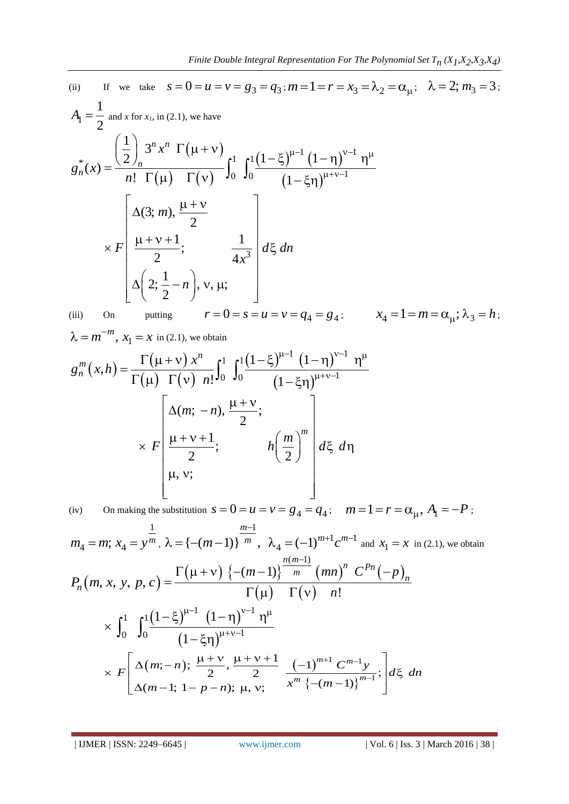(ii) If we take 
$$
s = 0 = u = v = g_3 = q_3
$$
;  $m = 1 = r = x_3 = \lambda_2 = \alpha_\mu$ ;  $\lambda = 2$ ;  $m_3 = 3$ ;  
\n
$$
A_1 = \frac{1}{2} \text{ and } x \text{ for } x_1, \text{ in (2.1), we have}
$$
\n
$$
g_n^*(x) = \frac{\left(\frac{1}{2}\right)_n 3^n x^n \Gamma(\mu + v)}{n! \Gamma(\mu) \Gamma(v)} \int_0^1 \int_0^1 \frac{(1 - \xi)^{\mu - 1} (1 - \eta)^{\nu - 1} \eta^\mu}{(1 - \xi \eta)^{\mu + \nu - 1}}
$$
\n
$$
\times F \left[ \frac{\Delta(3; m), \frac{\mu + \nu}{2}}{\frac{\mu + \nu + 1}{2}}; \frac{1}{4x^3} \right] d\xi \, dn
$$
\n
$$
\Delta\left(2; \frac{1}{2} - n\right), v, \mu; \qquad r = 0 = s = u = v = q_4 = g_4; \qquad x_4 = 1 = m = \alpha_\mu; \lambda_3 = h;
$$
\n(iii) On putting  $r = 0 = s = u = v = q_4 = g_4$ ;  $x_4 = 1 = m = \alpha_\mu; \lambda_3 = h$ ;  
\n
$$
\lambda = m^{-m}, x_1 = x \text{ in (2.1), we obtain}
$$
\n
$$
g_n^m(x, h) = \frac{\Gamma(\mu + \nu)}{\Gamma(\mu + \nu)} \int_0^1 \int_0^1 \frac{(1 - \xi)^{\mu - 1} (1 - \eta)^{\nu - 1} \eta^\mu}{(1 - \eta)^{\nu - 1} \eta^\mu}
$$

$$
\lambda = m^{-m}, x_1 = x \text{ in (2.1), we obtain}
$$
\n
$$
g_n^m(x, h) = \frac{\Gamma(\mu + v) x^n}{\Gamma(\mu) \Gamma(v) n!} \int_0^1 \int_0^1 \frac{(1 - \xi)^{\mu - 1} (1 - \eta)^{\nu - 1} \eta^{\mu}}{(1 - \xi \eta)^{\mu + \nu - 1}}
$$
\n
$$
\times F \left[ \frac{\Delta(m; -n), \frac{\mu + \nu}{2};}{\mu, \nu;} h \left( \frac{m}{2} \right)^m \right] d\xi \, d\eta
$$

(iv) On making the substitution  $s = 0 = u = v = g_4 = q_4;$   $m = 1 = r = \alpha_\mu, A_1 = -P$ ;

$$
m_4 = m; x_4 = y^{\frac{1}{m}}, \lambda = \{-(m-1)\}^{\frac{m-1}{m}}, \lambda_4 = (-1)^{m+1}c^{m-1} \text{ and } x_1 = x \text{ in (2.1), we obtain}
$$
  
\n
$$
P_n(m, x, y, p, c) = \frac{\Gamma(\mu + v) \{-(m-1)\}^{\frac{n(m-1)}{m}} (mn)^n C^{Pn}(-p)_n}{\Gamma(\mu) \Gamma(v) n!}
$$
  
\n
$$
\times \int_0^1 \int_0^1 \frac{(1-\xi)^{\mu-1} (1-\eta)^{\nu-1} \eta^{\mu}}{(1-\xi\eta)^{\mu+\nu-1}}
$$
  
\n
$$
\times F\left[\Delta(m;-n); \frac{\mu+\nu}{2}, \frac{\mu+\nu+1}{2} \frac{(-1)^{m+1} C^{m-1} y}{\pi^m \{-(m-1)\}^{m-1}}\right] d\xi \, dn
$$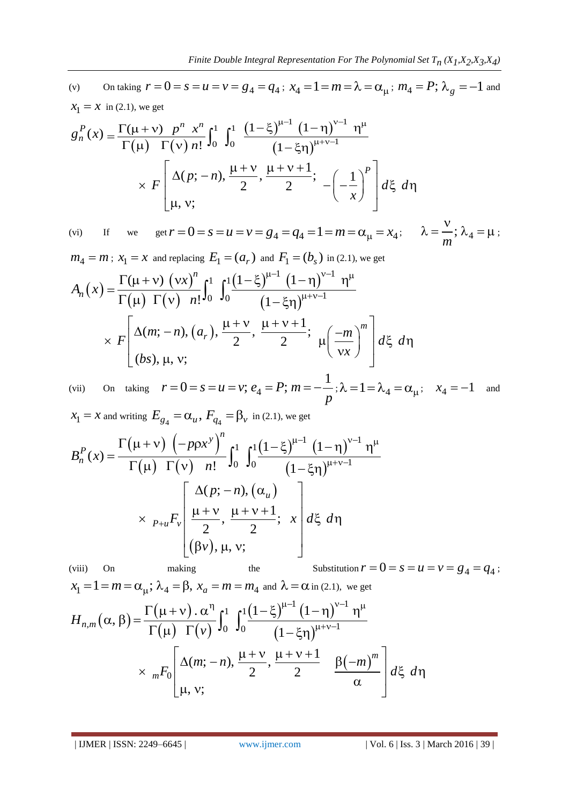(v) On taking  $r = 0 = s = u = v = g_4 = q_4$ ;  $x_4 = 1 = m = \lambda = \alpha_\mu$ ;  $m_4 = P$ ;  $\lambda_g = -1$  and  $x_1 = x$  in (2.1), we get<br>  $g_n^P(x) = \frac{\Gamma(\mu + v) P^n x^n}{\Gamma(\mu + v) P^n} \int_0^1 \int_0^1 \frac{(1 - \xi)^{\mu - 1} (1 - \eta)^{\nu - 1} \eta^\mu}{\sqrt{1 - \xi^2}}$  $x_1 = x$  in (2.1), we get  $^{\mu-1}$   $(1-n)^{\nu-1}$   $n^{\mu}$ 

(v) On taking 
$$
r = 0 = s = u = v = g_4 = q_4
$$
;  $x_4 = 1 = m = \lambda = \alpha_\mu$ ;  $m_4 = P$ ;  $\lambda_g = x_1 = x$  in (2.1), we get  
\n
$$
g_n^P(x) = \frac{\Gamma(\mu + \nu)}{\Gamma(\mu)} \frac{p^n x^n}{\Gamma(\nu) n!} \int_0^1 \int_0^1 \frac{(1 - \xi)^{\mu - 1} (1 - \eta)^{\nu - 1} \eta^\mu}{(1 - \xi \eta)^{\mu + \nu - 1}} \times F\left[\frac{\Delta(p; -n)}{\mu}, \frac{\mu + \nu}{2}, \frac{\mu + \nu + 1}{2}; -\left(-\frac{1}{x}\right)^p\right] d\xi \, d\eta
$$

(vi) If we get  $\mu$ , v;<br>  $r = 0 = s = u = v = g_4 = q_4 = 1 = m = \alpha_\mu = x_4;$   $\lambda$  $\lambda = \frac{v}{m}$ ;  $\lambda_4$ *m*  $\lambda = \frac{v}{\lambda_4}$ ;  $\lambda_4 = \mu$ ;

$$
m_4 = m; x_1 = x \text{ and replacing } E_1 = (a_r) \text{ and } F_1 = (b_s) \text{ in (2.1), we get}
$$
\n
$$
A_n(x) = \frac{\Gamma(\mu + v) (vx)^n}{\Gamma(\mu) \Gamma(v) n!} \int_0^1 \int_0^1 \frac{(1 - \xi)^{\mu - 1} (1 - \eta)^{\nu - 1} \eta^\mu}{(1 - \xi \eta)^{\mu + \nu - 1}}
$$
\n
$$
\times F\left[\Delta(m; -n), (a_r), \frac{\mu + v}{2}, \frac{\mu + v + 1}{2}; \mu\left(\frac{-m}{vx}\right)^m\right] d\xi \, d\eta
$$

(vii) On taking  $r = 0 = s = u = v$ ;  $e_4 = P$ ;  $m = -\frac{1}{a}$  $\frac{1}{p}$ ;  $\lambda = 1 = \lambda_4 = \alpha_\mu$ ;  $x_4 = -1$  and

$$
x_1 = x \text{ and writing } E_{g_4} = \alpha_u, F_{q_4} = \beta_v \text{ in (2.1), we get}
$$
\n
$$
B_n^P(x) = \frac{\Gamma(\mu + v) \left(-p\rho x^y\right)^n}{\Gamma(\mu) \Gamma(v) \left(n!\right)} \int_0^1 \int_0^1 \frac{\left(1 - \xi\right)^{\mu - 1} \left(1 - \eta\right)^{v - 1} \eta^{\mu}}{\left(1 - \xi \eta\right)^{\mu + v - 1}}
$$
\n
$$
\times \left.\rho_{+u} F_v \left[\frac{\mu + v}{2}, \frac{\mu + v + 1}{2}; x\right] d\xi \, d\eta
$$
\n(viii) On making the Substitution  $r = 0 = s = u = v = g_4 = q_4$ ;

$$
x_1 = 1 = m = \alpha_{\mu}; \lambda_4 = \beta, x_a = m = m_4 \text{ and } \lambda = \alpha \text{ in (2.1), we get}
$$
  
\n
$$
H_{n,m}(\alpha, \beta) = \frac{\Gamma(\mu + \nu) \cdot \alpha^n}{\Gamma(\mu) \Gamma(\nu)} \int_0^1 \int_0^1 \frac{(1 - \xi)^{\mu - 1} (1 - \eta)^{\nu - 1} \eta^{\mu}}{(1 - \xi \eta)^{\mu + \nu - 1}} d\mu
$$
  
\n
$$
\times {}_{m}F_0 \left[ \frac{\Delta(m; -n)}{\mu, \nu}; \frac{\mu + \nu}{2}, \frac{\mu + \nu + 1}{2} \frac{\beta(-m)^m}{\alpha} \right] d\xi \, d\eta
$$